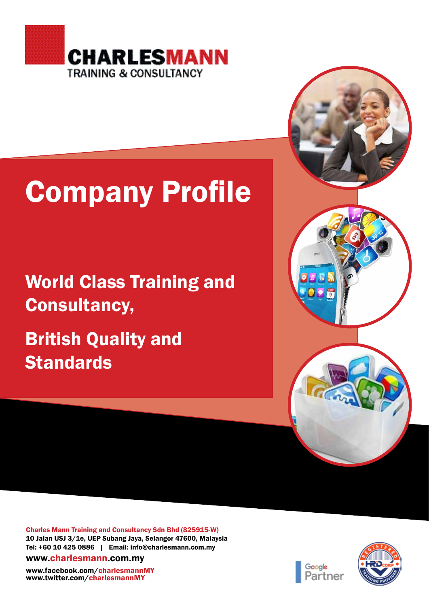

# Company Profile

## World Class Training and Consultancy,

British Quality and **Standards** 



Charles Mann Training and Consultancy Sdn Bhd (825915-W) 10 Jalan USJ 3/1e, UEP Subang Jaya, Selangor 47600, Malaysia Tel: +60 10 425 0886 | Email: info@charlesmann.com.my

www.charlesmann.com.my

www.facebook.com/charlesmannMY www.twitter.com/charlesmannMY



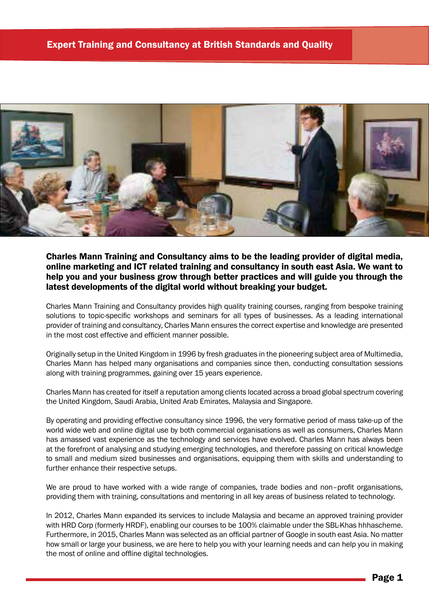

Charles Mann Training and Consultancy aims to be the leading provider of digital media, online marketing and ICT related training and consultancy in south east Asia. We want to help you and your business grow through better practices and will guide you through the latest developments of the digital world without breaking your budget.

Charles Mann Training and Consultancy provides high quality training courses, ranging from bespoke training solutions to topic-specific workshops and seminars for all types of businesses. As a leading international provider of training and consultancy, Charles Mann ensures the correct expertise and knowledge are presented in the most cost effective and efficient manner possible.

Originally setup in the United Kingdom in 1996 by fresh graduates in the pioneering subject area of Multimedia, Charles Mann has helped many organisations and companies since then, conducting consultation sessions along with training programmes, gaining over 15 years experience.

Charles Mann has created for itself a reputation among clients located across a broad global spectrum covering the United Kingdom, Saudi Arabia, United Arab Emirates, Malaysia and Singapore.

By operating and providing effective consultancy since 1996, the very formative period of mass take-up of the world wide web and online digital use by both commercial organisations as well as consumers, Charles Mann has amassed vast experience as the technology and services have evolved. Charles Mann has always been at the forefront of analysing and studying emerging technologies, and therefore passing on critical knowledge to small and medium sized businesses and organisations, equipping them with skills and understanding to further enhance their respective setups.

We are proud to have worked with a wide range of companies, trade bodies and non–profit organisations, providing them with training, consultations and mentoring in all key areas of business related to technology.

In 2012, Charles Mann expanded its services to include Malaysia and became an approved training provider with HRD Corp (formerly HRDF), enabling our courses to be 100% claimable under the SBL-Khas hhhascheme. Furthermore, in 2015, Charles Mann was selected as an official partner of Google in south east Asia. No matter how small or large your business, we are here to help you with your learning needs and can help you in making the most of online and offline digital technologies.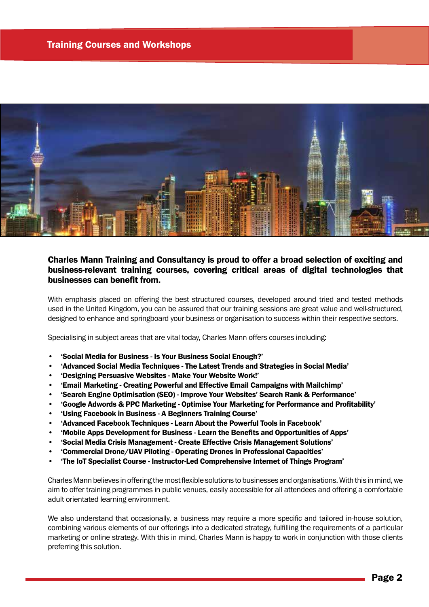

### Charles Mann Training and Consultancy is proud to offer a broad selection of exciting and business-relevant training courses, covering critical areas of digital technologies that businesses can benefit from.

With emphasis placed on offering the best structured courses, developed around tried and tested methods used in the United Kingdom, you can be assured that our training sessions are great value and well-structured, designed to enhance and springboard your business or organisation to success within their respective sectors.

Specialising in subject areas that are vital today, Charles Mann offers courses including:

- 'Social Media for Business Is Your Business Social Enough?'
- 'Advanced Social Media Techniques The Latest Trends and Strategies in Social Media'
- 'Designing Persuasive Websites Make Your Website Work!'
- 'Email Marketing Creating Powerful and Effective Email Campaigns with Mailchimp'
- 'Search Engine Optimisation (SEO) Improve Your Websites' Search Rank & Performance'
- 'Google Adwords & PPC Marketing Optimise Your Marketing for Performance and Profitability'
- 'Using Facebook in Business A Beginners Training Course'
- 'Advanced Facebook Techniques Learn About the Powerful Tools in Facebook'
- 'Mobile Apps Development for Business Learn the Benefits and Opportunities of Apps'
- 'Social Media Crisis Management Create Effective Crisis Management Solutions'
- 'Commercial Drone/UAV Piloting Operating Drones in Professional Capacities'
- 'The IoT Specialist Course Instructor-Led Comprehensive Internet of Things Program'

Charles Mann believes in offering the most flexible solutions to businesses and organisations. With this in mind, we aim to offer training programmes in public venues, easily accessible for all attendees and offering a comfortable adult orientated learning environment.

We also understand that occasionally, a business may require a more specific and tailored in-house solution, combining various elements of our offerings into a dedicated strategy, fulfilling the requirements of a particular marketing or online strategy. With this in mind, Charles Mann is happy to work in conjunction with those clients preferring this solution.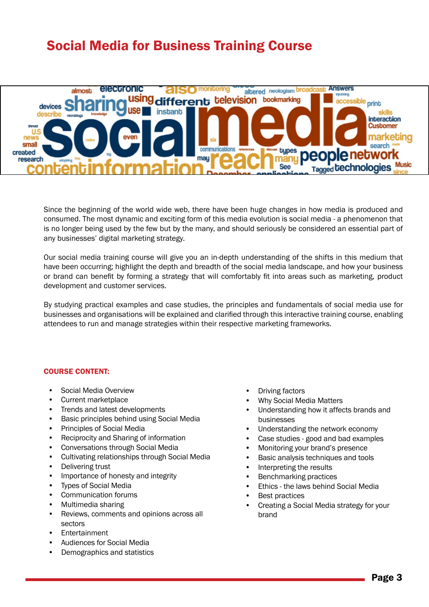### Social Media for Business Training Course



Since the beginning of the world wide web, there have been huge changes in how media is produced and consumed. The most dynamic and exciting form of this media evolution is social media - a phenomenon that is no longer being used by the few but by the many, and should seriously be considered an essential part of any businesses' digital marketing strategy.

Our social media training course will give you an in-depth understanding of the shifts in this medium that have been occurring; highlight the depth and breadth of the social media landscape, and how your business or brand can benefit by forming a strategy that will comfortably fit into areas such as marketing, product development and customer services.

By studying practical examples and case studies, the principles and fundamentals of social media use for businesses and organisations will be explained and clarified through this interactive training course, enabling attendees to run and manage strategies within their respective marketing frameworks.

### COURSE CONTENT:

- Social Media Overview
- Current marketplace
- Trends and latest developments
- Basic principles behind using Social Media
- Principles of Social Media
- Reciprocity and Sharing of information
- Conversations through Social Media
- Cultivating relationships through Social Media
- Delivering trust
- Importance of honesty and integrity
- Types of Social Media
- Communication forums
- Multimedia sharing
- Reviews, comments and opinions across all sectors
- **Fntertainment**
- Audiences for Social Media
- Demographics and statistics
- Driving factors
- Why Social Media Matters
- Understanding how it affects brands and businesses
- Understanding the network economy
- Case studies good and bad examples
- Monitoring your brand's presence
- Basic analysis techniques and tools
- Interpreting the results
- Benchmarking practices
- Ethics the laws behind Social Media
- **Best practices**
- Creating a Social Media strategy for your brand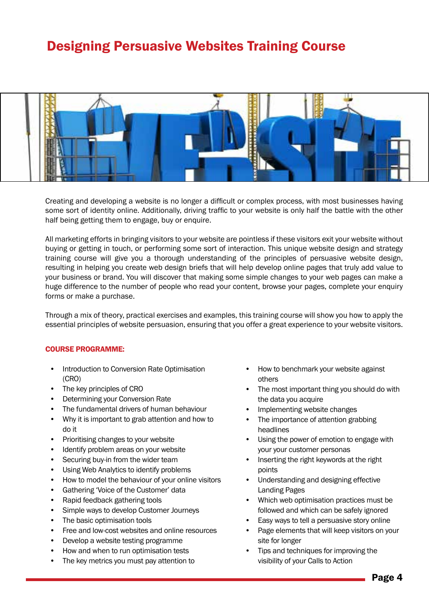### Designing Persuasive Websites Training Course



Creating and developing a website is no longer a difficult or complex process, with most businesses having some sort of identity online. Additionally, driving traffic to your website is only half the battle with the other half being getting them to engage, buy or enquire.

All marketing efforts in bringing visitors to your website are pointless if these visitors exit your website without buying or getting in touch, or performing some sort of interaction. This unique website design and strategy training course will give you a thorough understanding of the principles of persuasive website design, resulting in helping you create web design briefs that will help develop online pages that truly add value to your business or brand. You will discover that making some simple changes to your web pages can make a huge difference to the number of people who read your content, browse your pages, complete your enquiry forms or make a purchase.

Through a mix of theory, practical exercises and examples, this training course will show you how to apply the essential principles of website persuasion, ensuring that you offer a great experience to your website visitors.

- Introduction to Conversion Rate Optimisation (CRO)
- The key principles of CRO
- Determining your Conversion Rate
- The fundamental drivers of human behaviour
- Why it is important to grab attention and how to do it
- Prioritising changes to your website
- Identify problem areas on your website
- Securing buy-in from the wider team
- Using Web Analytics to identify problems
- How to model the behaviour of your online visitors
- Gathering 'Voice of the Customer' data
- Rapid feedback gathering tools
- Simple ways to develop Customer Journeys
- The basic optimisation tools
- Free and low-cost websites and online resources
- Develop a website testing programme
- How and when to run optimisation tests
- The key metrics you must pay attention to
- How to benchmark your website against others
- The most important thing you should do with the data you acquire
- Implementing website changes
- The importance of attention grabbing headlines
- Using the power of emotion to engage with your your customer personas
- Inserting the right keywords at the right points
- Understanding and designing effective Landing Pages
- Which web optimisation practices must be followed and which can be safely ignored
- Easy ways to tell a persuasive story online
- Page elements that will keep visitors on your site for longer
- Tips and techniques for improving the visibility of your Calls to Action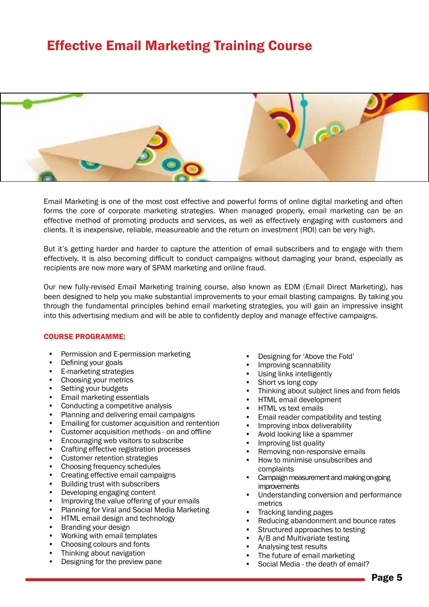### Effective Email Marketing Training Course



Email Marketing is one of the most cost effective and powerful forms of online digital marketing and often forms the core of corporate marketing strategies. When managed properly, email marketing can be an effective method of promoting products and services, as well as effectively engaging with customers and clients. It is inexpensive, reliable, measureable and the return on investment (ROI) can be very high.

But it's getting harder and harder to capture the attention of email subscribers and to engage with them effectively. It is also becoming difficult to conduct campaigns without damaging your brand, especially as recipients are now more wary of SPAM marketing and online fraud.

Our new fully-revised Email Marketing training course, also known as EDM (Email Direct Marketing), has been designed to help you make substantial improvements to your email blasting campaigns. By taking you through the fundamental principles behind email marketing strategies, you will gain an impressive insight into this advertising medium and will be able to confidently deploy and manage effective campaigns.

- Permission and E-permission marketing
- Defining your goals
- E-marketing strategies
- Choosing your metrics
- Setting your budgets
- Email marketing essentials
- Conducting a competitive analysis
- Planning and delivering email campaigns
- Emailing for customer acquisition and rentention
- Customer acquisition methods on and offline
- Encouraging web visitors to subscribe
- Crafting effective registration processes
- Customer retention strategies
- Choosing frequency schedules
- Creating effective email campaigns
- Building trust with subscribers
- Developing engaging content
- Improving the value offering of your emails
- Planning for Viral and Social Media Marketing
- HTML email design and technology
- Branding your design
- Working with email templates
- Choosing colours and fonts
- Thinking about navigation
- Designing for the preview pane
- Designing for 'Above the Fold'
- Improving scannability
- Using links intelligently
- Short vs long copy
- Thinking about subject lines and from fields
- HTML email development
- HTML vs text emails
- Email reader compatibility and testing
- Improving inbox deliverability
- Avoid looking like a spammer
- Improving list quality
- Removing non-responsive emails
- How to minimise unsubscribes and complaints
- Campaign measurement and making on-going **improvements**
- Understanding conversion and performance metrics
- Tracking landing pages
- Reducing abandonment and bounce rates
- Structured approaches to testing
- A/B and Multivariate testing
- Analysing test results
- The future of email marketing
	- Social Media the death of email?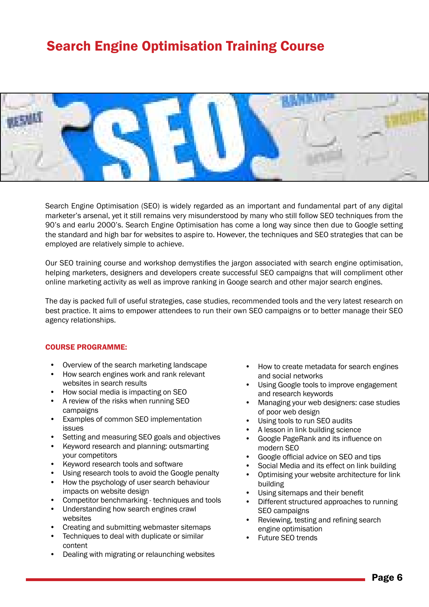### Search Engine Optimisation Training Course



Search Engine Optimisation (SEO) is widely regarded as an important and fundamental part of any digital marketer's arsenal, yet it still remains very misunderstood by many who still follow SEO techniques from the 90's and earlu 2000's. Search Engine Optimisation has come a long way since then due to Google setting the standard and high bar for websites to aspire to. However, the techniques and SEO strategies that can be employed are relatively simple to achieve.

Our SEO training course and workshop demystifies the jargon associated with search engine optimisation, helping marketers, designers and developers create successful SEO campaigns that will compliment other online marketing activity as well as improve ranking in Googe search and other major search engines.

The day is packed full of useful strategies, case studies, recommended tools and the very latest research on best practice. It aims to empower attendees to run their own SEO campaigns or to better manage their SEO agency relationships.

- Overview of the search marketing landscape
- How search engines work and rank relevant websites in search results
- How social media is impacting on SEO
- A review of the risks when running SEO campaigns
- Examples of common SEO implementation issues
- Setting and measuring SEO goals and objectives
- Keyword research and planning: outsmarting your competitors
- Keyword research tools and software
- Using research tools to avoid the Google penalty
- How the psychology of user search behaviour impacts on website design
- Competitor benchmarking techniques and tools
- Understanding how search engines crawl websites
- Creating and submitting webmaster sitemaps
- Techniques to deal with duplicate or similar content
- Dealing with migrating or relaunching websites
- How to create metadata for search engines and social networks
- Using Google tools to improve engagement and research keywords
- Managing your web designers: case studies of poor web design
- Using tools to run SEO audits
- A lesson in link building science
- Google PageRank and its influence on modern SEO
- Google official advice on SEO and tips
- Social Media and its effect on link building
- Optimising your website architecture for link building
- Using sitemaps and their benefit
- Different structured approaches to running SEO campaigns
- Reviewing, testing and refining search engine optimisation
- Future SEO trends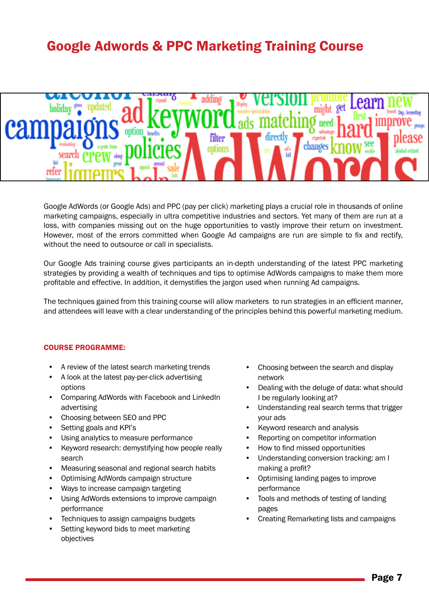### Google Adwords & PPC Marketing Training Course



Google AdWords (or Google Ads) and PPC (pay per click) marketing plays a crucial role in thousands of online marketing campaigns, especially in ultra competitive industries and sectors. Yet many of them are run at a loss, with companies missing out on the huge opportunities to vastly improve their return on investment. However, most of the errors committed when Google Ad campaigns are run are simple to fix and rectify, without the need to outsource or call in specialists.

Our Google Ads training course gives participants an in-depth understanding of the latest PPC marketing strategies by providing a wealth of techniques and tips to optimise AdWords campaigns to make them more profitable and effective. In addition, it demystifies the jargon used when running Ad campaigns.

The techniques gained from this training course will allow marketers to run strategies in an efficient manner, and attendees will leave with a clear understanding of the principles behind this powerful marketing medium.

- A review of the latest search marketing trends
- A look at the latest pay-per-click advertising options
- Comparing AdWords with Facebook and LinkedIn advertising
- Choosing between SEO and PPC
- Setting goals and KPI's
- Using analytics to measure performance
- Keyword research: demystifying how people really search
- Measuring seasonal and regional search habits
- Optimising AdWords campaign structure
- Ways to increase campaign targeting
- Using AdWords extensions to improve campaign performance
- Techniques to assign campaigns budgets
- Setting keyword bids to meet marketing objectives
- Choosing between the search and display network
- Dealing with the deluge of data: what should I be regularly looking at?
- Understanding real search terms that trigger your ads
- Keyword research and analysis
- Reporting on competitor information
- How to find missed opportunities
- Understanding conversion tracking: am I making a profit?
- Optimising landing pages to improve performance
- Tools and methods of testing of landing pages
- Creating Remarketing lists and campaigns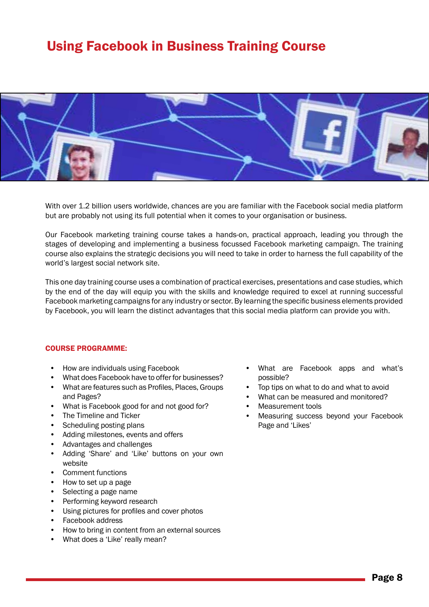### Using Facebook in Business Training Course



With over 1.2 billion users worldwide, chances are you are familiar with the Facebook social media platform but are probably not using its full potential when it comes to your organisation or business.

Our Facebook marketing training course takes a hands-on, practical approach, leading you through the stages of developing and implementing a business focussed Facebook marketing campaign. The training course also explains the strategic decisions you will need to take in order to harness the full capability of the world's largest social network site.

This one day training course uses a combination of practical exercises, presentations and case studies, which by the end of the day will equip you with the skills and knowledge required to excel at running successful Facebook marketing campaigns for any industry or sector. By learning the specific business elements provided by Facebook, you will learn the distinct advantages that this social media platform can provide you with.

- How are individuals using Facebook
- What does Facebook have to offer for businesses?
- What are features such as Profiles, Places, Groups and Pages?
- What is Facebook good for and not good for?
- The Timeline and Ticker
- Scheduling posting plans
- Adding milestones, events and offers
- Advantages and challenges
- Adding 'Share' and 'Like' buttons on your own website
- Comment functions
- How to set up a page
- Selecting a page name
- Performing keyword research
- Using pictures for profiles and cover photos
- Facebook address
- How to bring in content from an external sources
- What does a 'Like' really mean?
- What are Facebook apps and what's possible?
- Top tips on what to do and what to avoid
- What can be measured and monitored?
- Measurement tools
- Measuring success beyond your Facebook Page and 'Likes'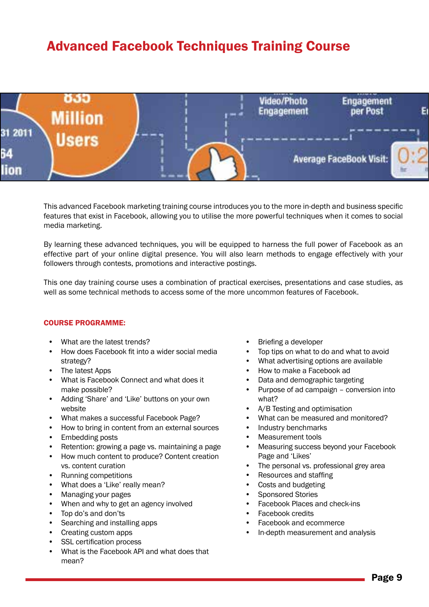### Advanced Facebook Techniques Training Course



This advanced Facebook marketing training course introduces you to the more in-depth and business specific features that exist in Facebook, allowing you to utilise the more powerful techniques when it comes to social media marketing.

By learning these advanced techniques, you will be equipped to harness the full power of Facebook as an effective part of your online digital presence. You will also learn methods to engage effectively with your followers through contests, promotions and interactive postings.

This one day training course uses a combination of practical exercises, presentations and case studies, as well as some technical methods to access some of the more uncommon features of Facebook.

- What are the latest trends?
- How does Facebook fit into a wider social media strategy?
- The latest Apps
- What is Facebook Connect and what does it make possible?
- Adding 'Share' and 'Like' buttons on your own website
- What makes a successful Facebook Page?
- How to bring in content from an external sources
- Embedding posts
- Retention: growing a page vs. maintaining a page
- How much content to produce? Content creation vs. content curation
- Running competitions
- What does a 'Like' really mean?
- Managing your pages
- When and why to get an agency involved
- Top do's and don'ts
- Searching and installing apps
- Creating custom apps
- SSL certification process
- What is the Facebook API and what does that mean?
- Briefing a developer
- Top tips on what to do and what to avoid
- What advertising options are available
- How to make a Facebook ad
- Data and demographic targeting
- Purpose of ad campaign conversion into what?
- A/B Testing and optimisation
- What can be measured and monitored?
- Industry benchmarks
- Measurement tools
- Measuring success beyond your Facebook Page and 'Likes'
- The personal vs. professional grey area
- Resources and staffing
- Costs and budgeting
- Sponsored Stories
- Facebook Places and check-ins
- Facebook credits
- Facebook and ecommerce
- In-depth measurement and analysis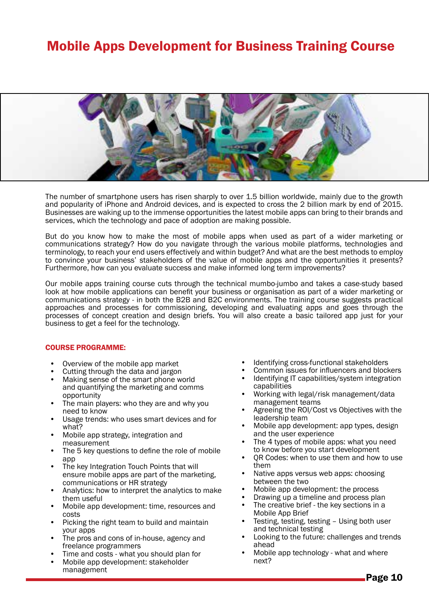### Mobile Apps Development for Business Training Course



The number of smartphone users has risen sharply to over 1.5 billion worldwide, mainly due to the growth and popularity of iPhone and Android devices, and is expected to cross the 2 billion mark by end of 2015. Businesses are waking up to the immense opportunities the latest mobile apps can bring to their brands and services, which the technology and pace of adoption are making possible.

But do you know how to make the most of mobile apps when used as part of a wider marketing or communications strategy? How do you navigate through the various mobile platforms, technologies and terminology, to reach your end users effectively and within budget? And what are the best methods to employ to convince your business' stakeholders of the value of mobile apps and the opportunities it presents? Furthermore, how can you evaluate success and make informed long term improvements?

Our mobile apps training course cuts through the technical mumbo-jumbo and takes a case-study based look at how mobile applications can benefit your business or organisation as part of a wider marketing or communications strategy - in both the B2B and B2C environments. The training course suggests practical approaches and processes for commissioning, developing and evaluating apps and goes through the processes of concept creation and design briefs. You will also create a basic tailored app just for your business to get a feel for the technology.

- Overview of the mobile app market
- Cutting through the data and jargon
- Making sense of the smart phone world and quantifying the marketing and comms opportunity
- The main players: who they are and why you need to know
- Usage trends: who uses smart devices and for what?
- Mobile app strategy, integration and measurement
- The 5 key questions to define the role of mobile app
- The key Integration Touch Points that will ensure mobile apps are part of the marketing, communications or HR strategy
- Analytics: how to interpret the analytics to make them useful
- Mobile app development: time, resources and costs
- Picking the right team to build and maintain your apps
- The pros and cons of in-house, agency and freelance programmers
- Time and costs what you should plan for
- Mobile app development: stakeholder management
- 
- 
- Identifying cross-functional stakeholders<br>
Common issues for influencers and blockers<br>
Identifying IT capabilities/system integration<br>
capabilities
- Working with legal/risk management/data
- management teams<br>Agreeing the ROI/Cost vs Objectives with the<br>leadership team
- Mobile app development: app types, design<br>and the user experience
- The 4 types of mobile apps: what you need<br>to know before you start development
- QR Codes: when to use them and how to use them
- Native apps versus web apps: choosing<br>between the two
- 
- 
- Mobile app development: the process<br>Drawing up a timeline and process plan<br>The creative brief the key sections in a<br>Mobile App Brief
- Testing, testing, testing Using both user<br>and technical testing
- Looking to the future: challenges and trends ahead
- Mobile app technology what and where next?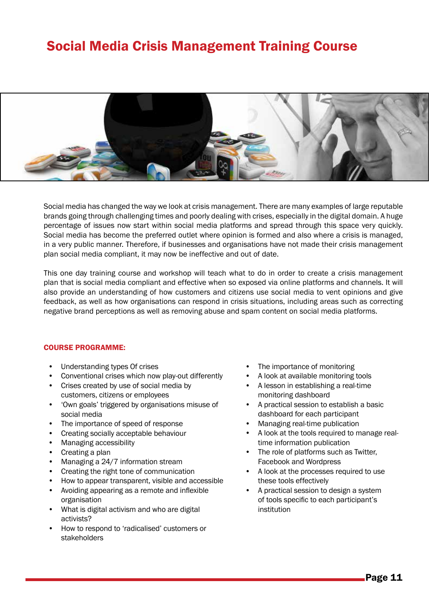### Social Media Crisis Management Training Course



Social media has changed the way we look at crisis management. There are many examples of large reputable brands going through challenging times and poorly dealing with crises, especially in the digital domain. A huge percentage of issues now start within social media platforms and spread through this space very quickly. Social media has become the preferred outlet where opinion is formed and also where a crisis is managed, in a very public manner. Therefore, if businesses and organisations have not made their crisis management plan social media compliant, it may now be ineffective and out of date.

This one day training course and workshop will teach what to do in order to create a crisis management plan that is social media compliant and effective when so exposed via online platforms and channels. It will also provide an understanding of how customers and citizens use social media to vent opinions and give feedback, as well as how organisations can respond in crisis situations, including areas such as correcting negative brand perceptions as well as removing abuse and spam content on social media platforms.

- Understanding types Of crises
- Conventional crises which now play-out differently
- Crises created by use of social media by customers, citizens or employees
- 'Own goals' triggered by organisations misuse of social media
- The importance of speed of response
- Creating socially acceptable behaviour
- Managing accessibility
- Creating a plan
- Managing a 24/7 information stream
- Creating the right tone of communication
- How to appear transparent, visible and accessible
- Avoiding appearing as a remote and inflexible organisation
- What is digital activism and who are digital activists?
- How to respond to 'radicalised' customers or stakeholders
- The importance of monitoring
- A look at available monitoring tools
- A lesson in establishing a real-time monitoring dashboard
- A practical session to establish a basic dashboard for each participant
- Managing real-time publication
- A look at the tools required to manage realtime information publication
- The role of platforms such as Twitter, Facebook and Wordpress
- A look at the processes required to use these tools effectively
- A practical session to design a system of tools specific to each participant's institution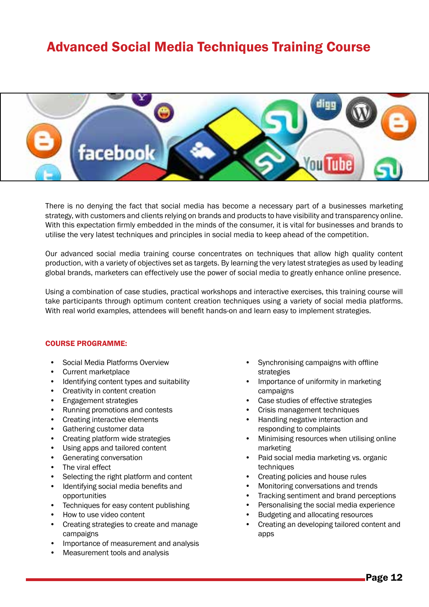### Advanced Social Media Techniques Training Course



There is no denying the fact that social media has become a necessary part of a businesses marketing strategy, with customers and clients relying on brands and products to have visibility and transparency online. With this expectation firmly embedded in the minds of the consumer, it is vital for businesses and brands to utilise the very latest techniques and principles in social media to keep ahead of the competition.

Our advanced social media training course concentrates on techniques that allow high quality content production, with a variety of objectives set as targets. By learning the very latest strategies as used by leading global brands, marketers can effectively use the power of social media to greatly enhance online presence.

Using a combination of case studies, practical workshops and interactive exercises, this training course will take participants through optimum content creation techniques using a variety of social media platforms. With real world examples, attendees will benefit hands-on and learn easy to implement strategies.

- Social Media Platforms Overview
- Current marketplace
- Identifying content types and suitability
- Creativity in content creation
- Engagement strategies
- Running promotions and contests
- Creating interactive elements
- Gathering customer data
- Creating platform wide strategies
- Using apps and tailored content
- Generating conversation
- The viral effect
- Selecting the right platform and content
- Identifying social media benefits and opportunities
- Techniques for easy content publishing
- How to use video content
- Creating strategies to create and manage campaigns
- Importance of measurement and analysis
- Measurement tools and analysis
- Synchronising campaigns with offline strategies
- Importance of uniformity in marketing campaigns
- Case studies of effective strategies
- Crisis management techniques
- Handling negative interaction and responding to complaints
- Minimising resources when utilising online marketing
- Paid social media marketing vs. organic techniques
- Creating policies and house rules
- Monitoring conversations and trends
- Tracking sentiment and brand perceptions
- Personalising the social media experience
- Budgeting and allocating resources
- Creating an developing tailored content and apps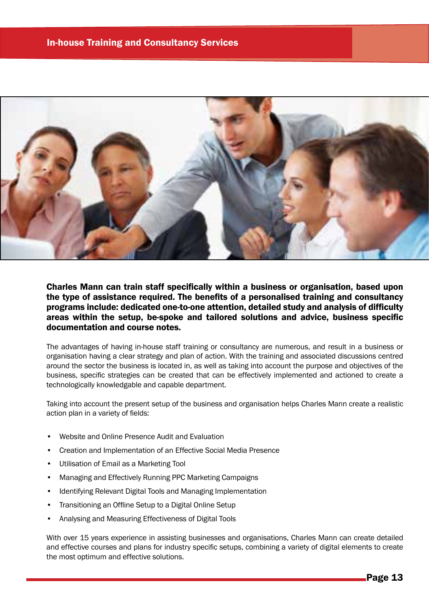

Charles Mann can train staff specifically within a business or organisation, based upon the type of assistance required. The benefits of a personalised training and consultancy programs include: dedicated one-to-one attention, detailed study and analysis of difficulty areas within the setup, be-spoke and tailored solutions and advice, business specific documentation and course notes.

The advantages of having in-house staff training or consultancy are numerous, and result in a business or organisation having a clear strategy and plan of action. With the training and associated discussions centred around the sector the business is located in, as well as taking into account the purpose and objectives of the business, specific strategies can be created that can be effectively implemented and actioned to create a technologically knowledgable and capable department.

Taking into account the present setup of the business and organisation helps Charles Mann create a realistic action plan in a variety of fields:

- Website and Online Presence Audit and Evaluation
- Creation and Implementation of an Effective Social Media Presence
- Utilisation of Email as a Marketing Tool
- Managing and Effectively Running PPC Marketing Campaigns
- Identifying Relevant Digital Tools and Managing Implementation
- Transitioning an Offline Setup to a Digital Online Setup
- Analysing and Measuring Effectiveness of Digital Tools

With over 15 years experience in assisting businesses and organisations, Charles Mann can create detailed and effective courses and plans for industry specific setups, combining a variety of digital elements to create the most optimum and effective solutions.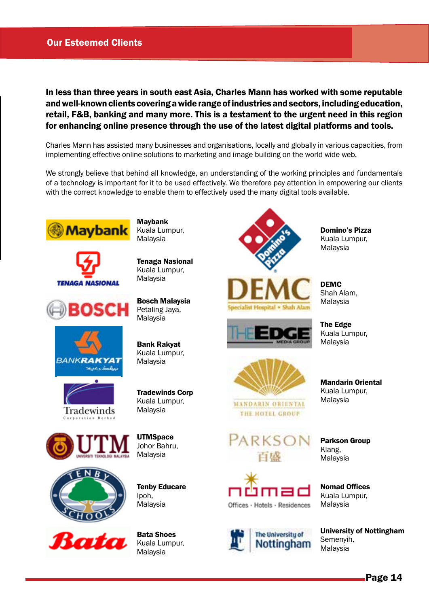### Our Esteemed Clients

In less than three years in south east Asia, Charles Mann has worked with some reputable and well-known clients covering a wide range of industries and sectors, including education, retail, F&B, banking and many more. This is a testament to the urgent need in this region for enhancing online presence through the use of the latest digital platforms and tools.

Charles Mann has assisted many businesses and organisations, locally and globally in various capacities, from implementing effective online solutions to marketing and image building on the world wide web.

We strongly believe that behind all knowledge, an understanding of the working principles and fundamentals of a technology is important for it to be used effectively. We therefore pay attention in empowering our clients with the correct knowledge to enable them to effectively used the many digital tools available.









Maybank Kuala Lumpur, Malaysia

Tenaga Nasional Kuala Lumpur, Malaysia

Bosch Malaysia Petaling Jaya, Malaysia

Bank Rakyat Kuala Lumpur, Malaysia

Tradewinds Corp Kuala Lumpur, Malaysia

**UTMSpace** Johor Bahru, Malaysia





Tenby Educare Ipoh, Malaysia

Bata Shoes Kuala Lumpur, Malaysia







**MANDARIN ORIENTAL** THE HOTEL GROUP







Domino's Pizza Kuala Lumpur, Malaysia

DEMC Shah Alam, Malaysia

The Edge Kuala Lumpur, Malaysia

Mandarin Oriental Kuala Lumpur, Malaysia

Parkson Group Klang, Malaysia

Nomad Offices Kuala Lumpur, Malaysia

University of Nottingham Semenyih, Malaysia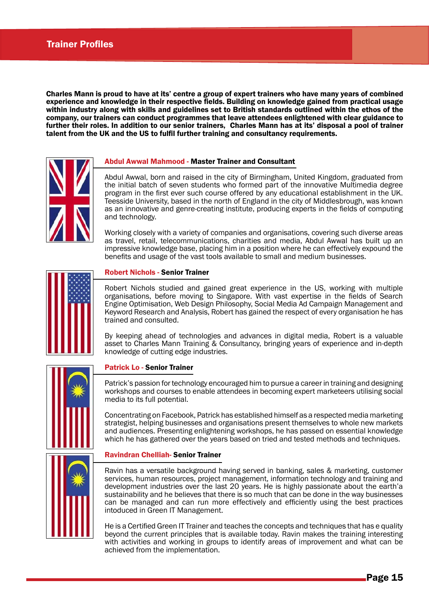Charles Mann is proud to have at its' centre a group of expert trainers who have many years of combined experience and knowledge in their respective fields. Building on knowledge gained from practical usage within industry along with skills and guidelines set to British standards outlined within the ethos of the company, our trainers can conduct programmes that leave attendees enlightened with clear guidance to further their roles. In addition to our senior trainers, Charles Mann has at its' disposal a pool of trainer talent from the UK and the US to fulfil further training and consultancy requirements.



#### Abdul Awwal Mahmood - Master Trainer and Consultant

Abdul Awwal, born and raised in the city of Birmingham, United Kingdom, graduated from the initial batch of seven students who formed part of the innovative Multimedia degree program in the first ever such course offered by any educational establishment in the UK. Teesside University, based in the north of England in the city of Middlesbrough, was known as an innovative and genre-creating institute, producing experts in the fields of computing and technology.

Working closely with a variety of companies and organisations, covering such diverse areas as travel, retail, telecommunications, charities and media, Abdul Awwal has built up an impressive knowledge base, placing him in a position where he can effectively expound the benefits and usage of the vast tools available to small and medium businesses.



#### Robert Nichols - Senior Trainer

Robert Nichols studied and gained great experience in the US, working with multiple organisations, before moving to Singapore. With vast expertise in the fields of Search Engine Optimisation, Web Design Philosophy, Social Media Ad Campaign Management and Keyword Research and Analysis, Robert has gained the respect of every organisation he has trained and consulted.

By keeping ahead of technologies and advances in digital media, Robert is a valuable asset to Charles Mann Training & Consultancy, bringing years of experience and in-depth knowledge of cutting edge industries.

#### Patrick Lo - Senior Trainer

Patrick's passion for technology encouraged him to pursue a career in training and designing workshops and courses to enable attendees in becoming expert marketeers utilising social media to its full potential.

Concentrating on Facebook, Patrick has established himself as a respected media marketing strategist, helping businesses and organisations present themselves to whole new markets and audiences. Presenting enlightening workshops, he has passed on essential knowledge which he has gathered over the years based on tried and tested methods and techniques.

#### Ravindran Chelliah- Senior Trainer

Ravin has a versatile background having served in banking, sales & marketing, customer services, human resources, project management, information technology and training and development industries over the last 20 years. He is highly passionate about the earth'a sustainability and he believes that there is so much that can be done in the way businesses can be managed and can run more effectively and efficiently using the best practices intoduced in Green IT Management.

He is a Certified Green IT Trainer and teaches the concepts and techniques that has e quality beyond the current principles that is available today. Ravin makes the training interesting with activities and working in groups to identify areas of improvement and what can be achieved from the implementation.

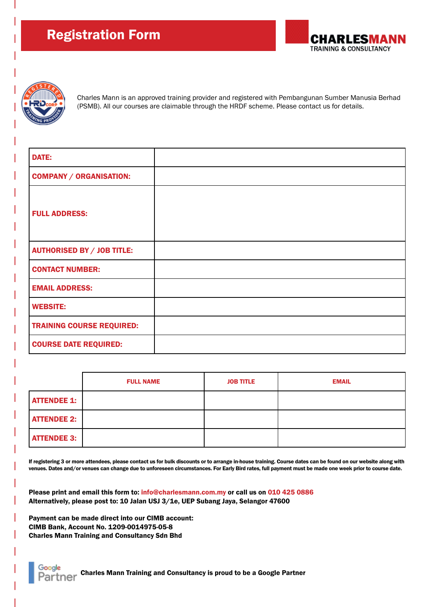



Charles Mann is an approved training provider and registered with Pembangunan Sumber Manusia Berhad (PSMB). All our courses are claimable through the HRDF scheme. Please contact us for details.

| <b>DATE:</b>                      |  |
|-----------------------------------|--|
| <b>COMPANY / ORGANISATION:</b>    |  |
| <b>FULL ADDRESS:</b>              |  |
| <b>AUTHORISED BY / JOB TITLE:</b> |  |
| <b>CONTACT NUMBER:</b>            |  |
| <b>EMAIL ADDRESS:</b>             |  |
| <b>WEBSITE:</b>                   |  |
| <b>TRAINING COURSE REQUIRED:</b>  |  |
| <b>COURSE DATE REQUIRED:</b>      |  |

|                    | <b>FULL NAME</b> | <b>JOB TITLE</b> | <b>EMAIL</b> |
|--------------------|------------------|------------------|--------------|
| <b>ATTENDEE 1:</b> |                  |                  |              |
| <b>ATTENDEE 2:</b> |                  |                  |              |
| <b>ATTENDEE 3:</b> |                  |                  |              |

If registering 3 or more attendees, please contact us for bulk discounts or to arrange in-house training. Course dates can be found on our website along with venues. Dates and/or venues can change due to unforeseen circumstances. For Early Bird rates, full payment must be made one week prior to course date.

Please print and email this form to: info@charlesmann.com.my or call us on 010 425 0886 Alternatively, please post to: 10 Jalan USJ 3/1e, UEP Subang Jaya, Selangor 47600

Payment can be made direct into our CIMB account: CIMB Bank, Account No. 1209-0014975-05-8 Charles Mann Training and Consultancy Sdn Bhd